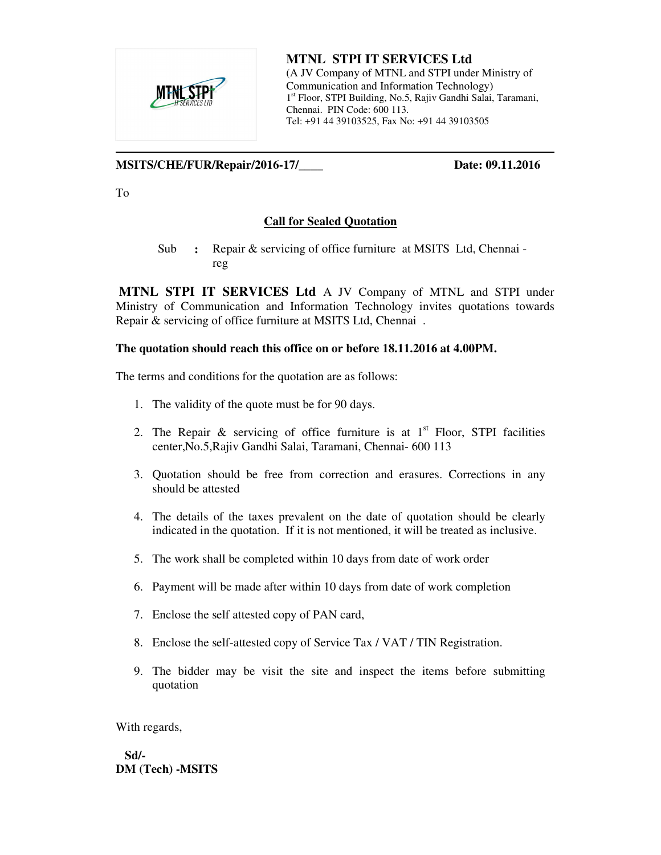

**MTNL STPI IT SERVICES Ltd**  (A JV Company of MTNL and STPI under Ministry of Communication and Information Technology) 1 st Floor, STPI Building, No.5, Rajiv Gandhi Salai, Taramani, Chennai. PIN Code: 600 113. Tel: +91 44 39103525, Fax No: +91 44 39103505

### **MSITS/CHE/FUR/Repair/2016-17/\_\_\_\_ Date: 09.11.2016**

To

### **Call for Sealed Quotation**

Sub **:** Repair & servicing of office furniture at MSITS Ltd, Chennai reg

 **MTNL STPI IT SERVICES Ltd** A JV Company of MTNL and STPI under Ministry of Communication and Information Technology invites quotations towards Repair & servicing of office furniture at MSITS Ltd, Chennai .

#### **The quotation should reach this office on or before 18.11.2016 at 4.00PM.**

The terms and conditions for the quotation are as follows:

- 1. The validity of the quote must be for 90 days.
- 2. The Repair & servicing of office furniture is at  $1<sup>st</sup>$  Floor, STPI facilities center,No.5,Rajiv Gandhi Salai, Taramani, Chennai- 600 113
- 3. Quotation should be free from correction and erasures. Corrections in any should be attested
- 4. The details of the taxes prevalent on the date of quotation should be clearly indicated in the quotation. If it is not mentioned, it will be treated as inclusive.
- 5. The work shall be completed within 10 days from date of work order
- 6. Payment will be made after within 10 days from date of work completion
- 7. Enclose the self attested copy of PAN card,
- 8. Enclose the self-attested copy of Service Tax / VAT / TIN Registration.
- 9. The bidder may be visit the site and inspect the items before submitting quotation

With regards,

 **Sd/- DM (Tech) -MSITS**